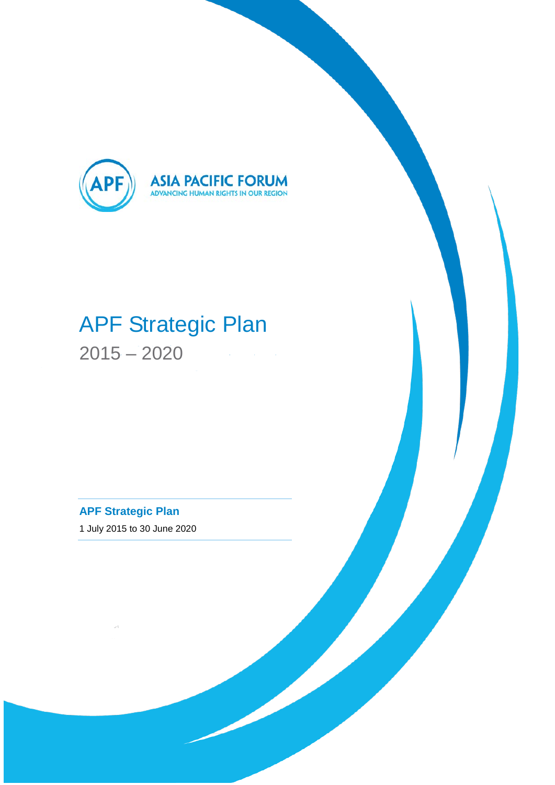

# APF Strategic Plan 2015 – 2020

**APF Strategic Plan** 1 July 2015 to 30 June 2020

 $\sim$ t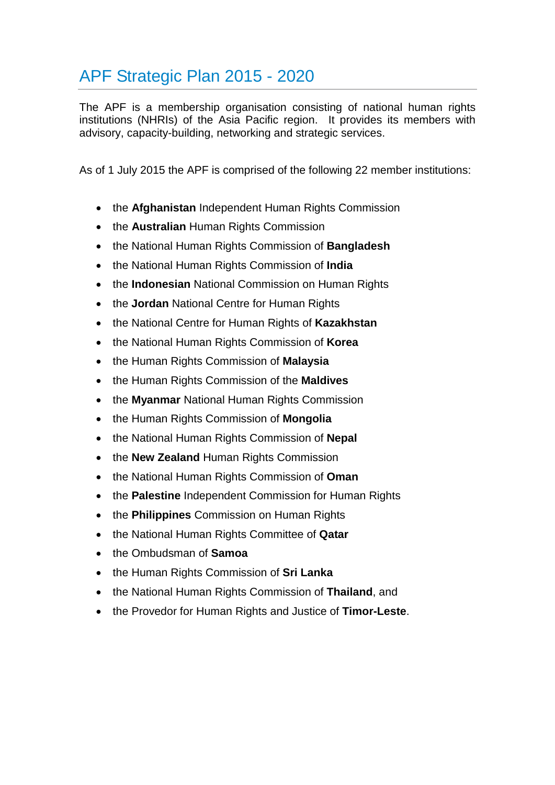## APF Strategic Plan 2015 - 2020

The APF is a membership organisation consisting of national human rights institutions (NHRIs) of the Asia Pacific region. It provides its members with advisory, capacity-building, networking and strategic services.

As of 1 July 2015 the APF is comprised of the following 22 member institutions:

- the **Afghanistan** Independent Human Rights Commission
- the **Australian** Human Rights Commission
- the National Human Rights Commission of **Bangladesh**
- the National Human Rights Commission of **India**
- the **Indonesian** National Commission on Human Rights
- the **Jordan** National Centre for Human Rights
- the National Centre for Human Rights of **Kazakhstan**
- the National Human Rights Commission of **Korea**
- the Human Rights Commission of **Malaysia**
- the Human Rights Commission of the **Maldives**
- the **Myanmar** National Human Rights Commission
- the Human Rights Commission of **Mongolia**
- the National Human Rights Commission of **Nepal**
- the **New Zealand** Human Rights Commission
- the National Human Rights Commission of **Oman**
- the **Palestine** Independent Commission for Human Rights
- the **Philippines** Commission on Human Rights
- the National Human Rights Committee of **Qatar**
- the Ombudsman of **Samoa**
- the Human Rights Commission of **Sri Lanka**
- the National Human Rights Commission of **Thailand**, and
- the Provedor for Human Rights and Justice of **Timor-Leste**.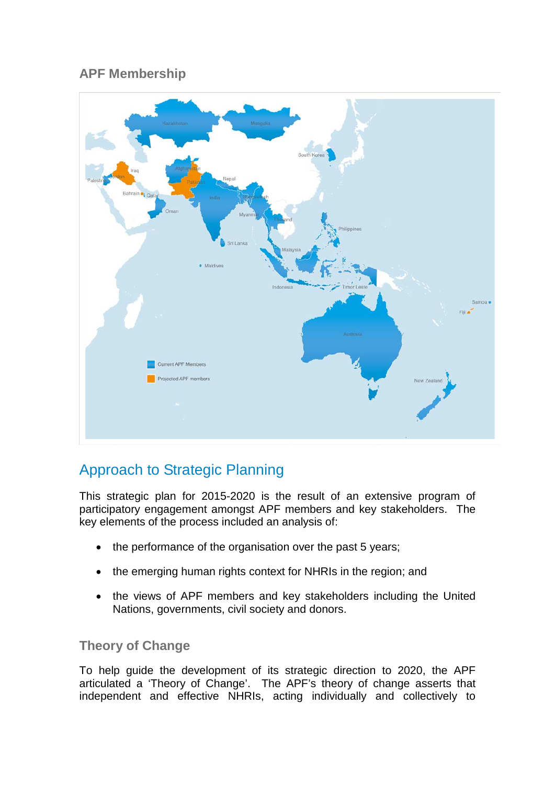## **APF Membership**



## Approach to Strategic Planning

This strategic plan for 2015-2020 is the result of an extensive program of participatory engagement amongst APF members and key stakeholders. The key elements of the process included an analysis of:

- the performance of the organisation over the past 5 years;
- the emerging human rights context for NHRIs in the region; and
- the views of APF members and key stakeholders including the United Nations, governments, civil society and donors.

#### **Theory of Change**

To help guide the development of its strategic direction to 2020, the APF articulated a 'Theory of Change'. The APF's theory of change asserts that independent and effective NHRIs, acting individually and collectively to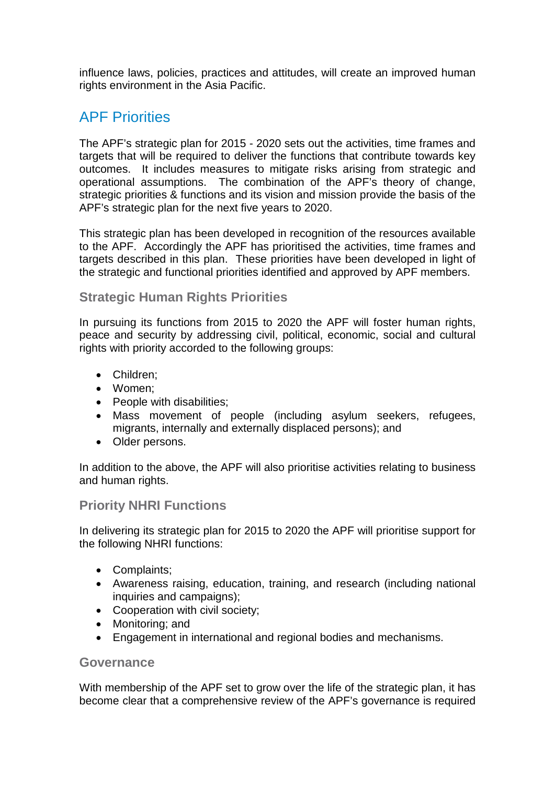influence laws, policies, practices and attitudes, will create an improved human rights environment in the Asia Pacific.

## APF Priorities

The APF's strategic plan for 2015 - 2020 sets out the activities, time frames and targets that will be required to deliver the functions that contribute towards key outcomes. It includes measures to mitigate risks arising from strategic and operational assumptions. The combination of the APF's theory of change, strategic priorities & functions and its vision and mission provide the basis of the APF's strategic plan for the next five years to 2020.

This strategic plan has been developed in recognition of the resources available to the APF. Accordingly the APF has prioritised the activities, time frames and targets described in this plan. These priorities have been developed in light of the strategic and functional priorities identified and approved by APF members.

#### **Strategic Human Rights Priorities**

In pursuing its functions from 2015 to 2020 the APF will foster human rights, peace and security by addressing civil, political, economic, social and cultural rights with priority accorded to the following groups:

- Children;
- Women;
- People with disabilities;
- Mass movement of people (including asylum seekers, refugees, migrants, internally and externally displaced persons); and
- Older persons.

In addition to the above, the APF will also prioritise activities relating to business and human rights.

#### **Priority NHRI Functions**

In delivering its strategic plan for 2015 to 2020 the APF will prioritise support for the following NHRI functions:

- Complaints;
- Awareness raising, education, training, and research (including national inquiries and campaigns);
- Cooperation with civil society;
- Monitoring; and
- Engagement in international and regional bodies and mechanisms.

#### **Governance**

With membership of the APF set to grow over the life of the strategic plan, it has become clear that a comprehensive review of the APF's governance is required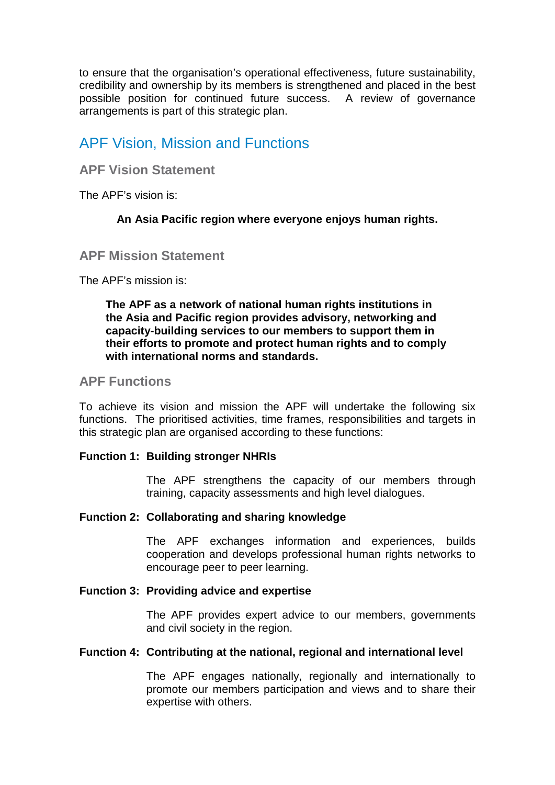to ensure that the organisation's operational effectiveness, future sustainability, credibility and ownership by its members is strengthened and placed in the best possible position for continued future success. A review of governance arrangements is part of this strategic plan.

## APF Vision, Mission and Functions

#### **APF Vision Statement**

The APF's vision is:

#### **An Asia Pacific region where everyone enjoys human rights.**

#### **APF Mission Statement**

The APF's mission is:

#### **The APF as a network of national human rights institutions in the Asia and Pacific region provides advisory, networking and capacity-building services to our members to support them in their efforts to promote and protect human rights and to comply with international norms and standards.**

#### **APF Functions**

To achieve its vision and mission the APF will undertake the following six functions. The prioritised activities, time frames, responsibilities and targets in this strategic plan are organised according to these functions:

#### **Function 1: Building stronger NHRIs**

The APF strengthens the capacity of our members through training, capacity assessments and high level dialogues.

#### **Function 2: Collaborating and sharing knowledge**

The APF exchanges information and experiences, builds cooperation and develops professional human rights networks to encourage peer to peer learning.

#### **Function 3: Providing advice and expertise**

The APF provides expert advice to our members, governments and civil society in the region.

#### **Function 4: Contributing at the national, regional and international level**

The APF engages nationally, regionally and internationally to promote our members participation and views and to share their expertise with others.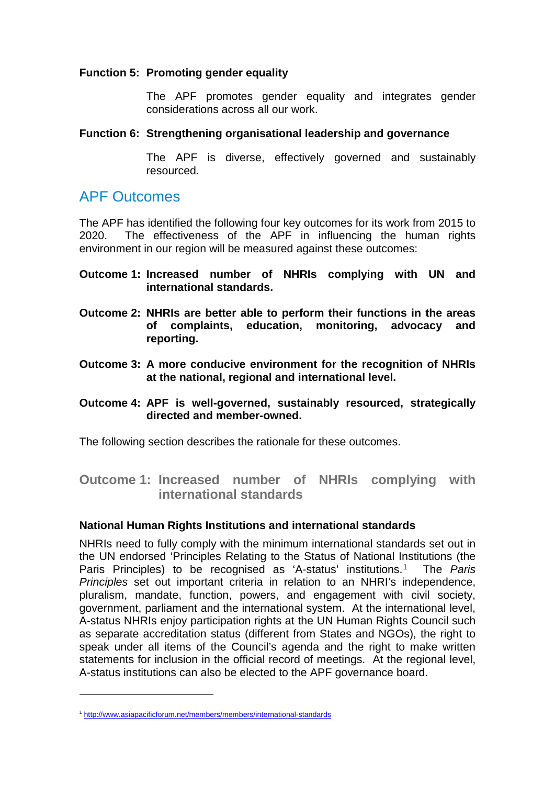#### **Function 5: Promoting gender equality**

The APF promotes gender equality and integrates gender considerations across all our work.

#### **Function 6: Strengthening organisational leadership and governance**

The APF is diverse, effectively governed and sustainably resourced.

## APF Outcomes

The APF has identified the following four key outcomes for its work from 2015 to 2020. The effectiveness of the APF in influencing the human rights environment in our region will be measured against these outcomes:

- **Outcome 1: Increased number of NHRIs complying with UN and international standards.**
- **Outcome 2: NHRIs are better able to perform their functions in the areas of complaints, education, monitoring, advocacy and reporting.**
- **Outcome 3: A more conducive environment for the recognition of NHRIs at the national, regional and international level.**
- **Outcome 4: APF is well-governed, sustainably resourced, strategically directed and member-owned.**

The following section describes the rationale for these outcomes.

**Outcome 1: Increased number of NHRIs complying with international standards**

#### **National Human Rights Institutions and international standards**

NHRIs need to fully comply with the minimum international standards set out in the UN endorsed 'Principles Relating to the Status of National Institutions (the Paris Principles) to be recognised as 'A-status' institutions.[1](#page-5-0) The *Paris Principles* set out important criteria in relation to an NHRI's independence, pluralism, mandate, function, powers, and engagement with civil society, government, parliament and the international system. At the international level, A-status NHRIs enjoy participation rights at the UN Human Rights Council such as separate accreditation status (different from States and NGOs), the right to speak under all items of the Council's agenda and the right to make written statements for inclusion in the official record of meetings. At the regional level, A-status institutions can also be elected to the APF governance board.

-

<span id="page-5-0"></span><sup>1</sup> <http://www.asiapacificforum.net/members/members/international-standards>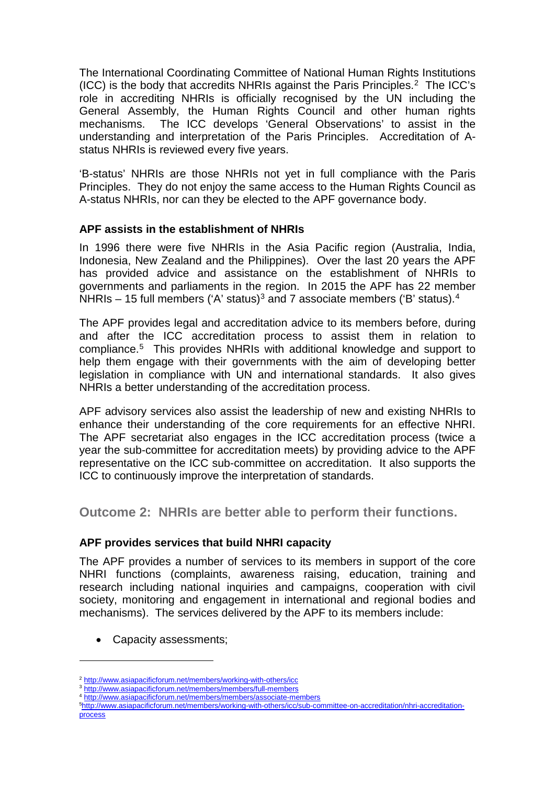The International Coordinating Committee of National Human Rights Institutions (ICC) is the body that accredits NHRIs against the Paris Principles.[2](#page-6-0) The ICC's role in accrediting NHRIs is officially recognised by the UN including the General Assembly, the Human Rights Council and other human rights mechanisms. The ICC develops 'General Observations' to assist in the understanding and interpretation of the Paris Principles. Accreditation of Astatus NHRIs is reviewed every five years.

'B-status' NHRIs are those NHRIs not yet in full compliance with the Paris Principles. They do not enjoy the same access to the Human Rights Council as A-status NHRIs, nor can they be elected to the APF governance body.

#### **APF assists in the establishment of NHRIs**

In 1996 there were five NHRIs in the Asia Pacific region (Australia, India, Indonesia, New Zealand and the Philippines). Over the last 20 years the APF has provided advice and assistance on the establishment of NHRIs to governments and parliaments in the region. In 2015 the APF has 22 member NHRIs – 15 full members ('A' status)<sup>[3](#page-6-1)</sup> and 7 associate members ('B' status).<sup>[4](#page-6-2)</sup>

The APF provides legal and accreditation advice to its members before, during and after the ICC accreditation process to assist them in relation to compliance.[5](#page-6-3) This provides NHRIs with additional knowledge and support to help them engage with their governments with the aim of developing better legislation in compliance with UN and international standards. It also gives NHRIs a better understanding of the accreditation process.

APF advisory services also assist the leadership of new and existing NHRIs to enhance their understanding of the core requirements for an effective NHRI. The APF secretariat also engages in the ICC accreditation process (twice a year the sub-committee for accreditation meets) by providing advice to the APF representative on the ICC sub-committee on accreditation. It also supports the ICC to continuously improve the interpretation of standards.

**Outcome 2: NHRIs are better able to perform their functions.**

#### **APF provides services that build NHRI capacity**

The APF provides a number of services to its members in support of the core NHRI functions (complaints, awareness raising, education, training and research including national inquiries and campaigns, cooperation with civil society, monitoring and engagement in international and regional bodies and mechanisms). The services delivered by the APF to its members include:

• Capacity assessments;

-

4 <http://www.asiapacificforum.net/members/members/associate-members>

<sup>2</sup> <http://www.asiapacificforum.net/members/working-with-others/icc>

<span id="page-6-1"></span><span id="page-6-0"></span><sup>3</sup> <http://www.asiapacificforum.net/members/members/full-members>

<span id="page-6-3"></span><span id="page-6-2"></span><sup>5</sup> [http://www.asiapacificforum.net/members/working-with-others/icc/sub-committee-on-accreditation/nhri-accreditation](http://www.asiapacificforum.net/members/working-with-others/icc/sub-committee-on-accreditation/nhri-accreditation-process)[process](http://www.asiapacificforum.net/members/working-with-others/icc/sub-committee-on-accreditation/nhri-accreditation-process)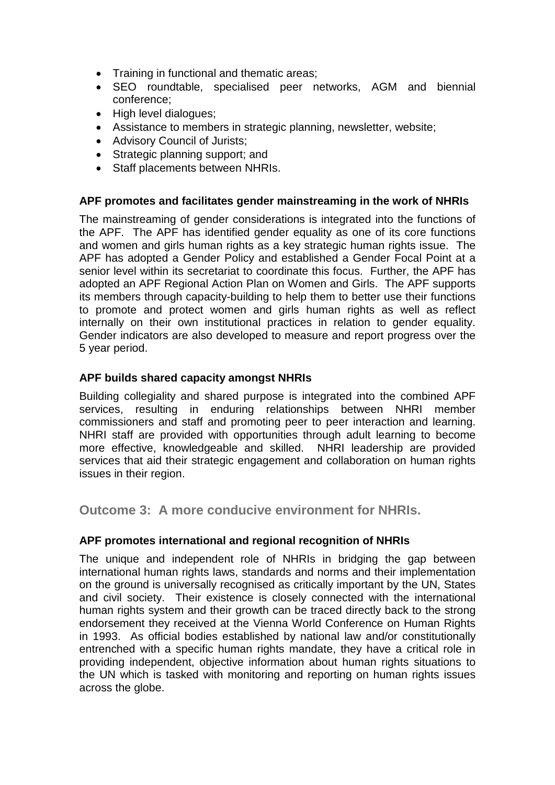- Training in functional and thematic areas;
- SEO roundtable, specialised peer networks, AGM and biennial conference;
- High level dialogues;
- Assistance to members in strategic planning, newsletter, website;
- Advisory Council of Jurists;
- Strategic planning support; and
- Staff placements between NHRIs.

#### **APF promotes and facilitates gender mainstreaming in the work of NHRIs**

The mainstreaming of gender considerations is integrated into the functions of the APF. The APF has identified gender equality as one of its core functions and women and girls human rights as a key strategic human rights issue. The APF has adopted a Gender Policy and established a Gender Focal Point at a senior level within its secretariat to coordinate this focus. Further, the APF has adopted an APF Regional Action Plan on Women and Girls. The APF supports its members through capacity-building to help them to better use their functions to promote and protect women and girls human rights as well as reflect internally on their own institutional practices in relation to gender equality. Gender indicators are also developed to measure and report progress over the 5 year period.

#### **APF builds shared capacity amongst NHRIs**

Building collegiality and shared purpose is integrated into the combined APF services, resulting in enduring relationships between NHRI member commissioners and staff and promoting peer to peer interaction and learning. NHRI staff are provided with opportunities through adult learning to become more effective, knowledgeable and skilled. NHRI leadership are provided services that aid their strategic engagement and collaboration on human rights issues in their region.

**Outcome 3: A more conducive environment for NHRIs.**

#### **APF promotes international and regional recognition of NHRIs**

The unique and independent role of NHRIs in bridging the gap between international human rights laws, standards and norms and their implementation on the ground is universally recognised as critically important by the UN, States and civil society. Their existence is closely connected with the international human rights system and their growth can be traced directly back to the strong endorsement they received at the Vienna World Conference on Human Rights in 1993. As official bodies established by national law and/or constitutionally entrenched with a specific human rights mandate, they have a critical role in providing independent, objective information about human rights situations to the UN which is tasked with monitoring and reporting on human rights issues across the globe.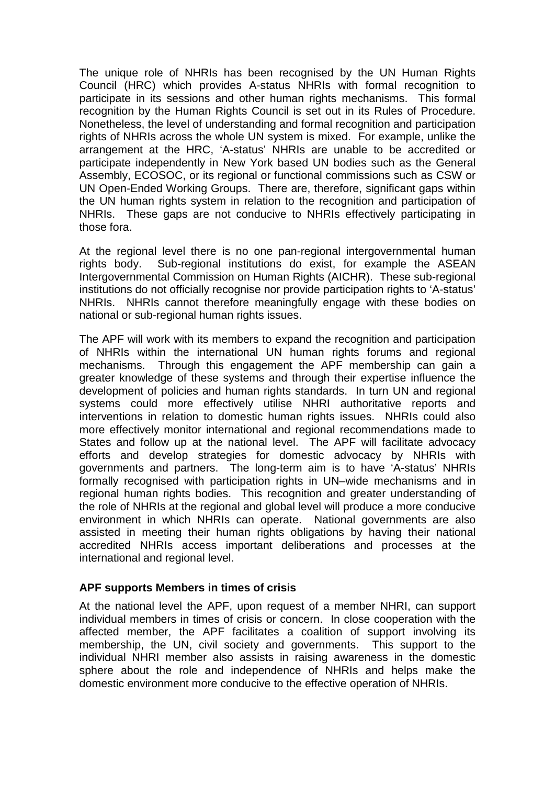The unique role of NHRIs has been recognised by the UN Human Rights Council (HRC) which provides A-status NHRIs with formal recognition to participate in its sessions and other human rights mechanisms. This formal recognition by the Human Rights Council is set out in its Rules of Procedure. Nonetheless, the level of understanding and formal recognition and participation rights of NHRIs across the whole UN system is mixed. For example, unlike the arrangement at the HRC, 'A-status' NHRIs are unable to be accredited or participate independently in New York based UN bodies such as the General Assembly, ECOSOC, or its regional or functional commissions such as CSW or UN Open-Ended Working Groups. There are, therefore, significant gaps within the UN human rights system in relation to the recognition and participation of NHRIs. These gaps are not conducive to NHRIs effectively participating in those fora.

At the regional level there is no one pan-regional intergovernmental human rights body. Sub-regional institutions do exist, for example the ASEAN Intergovernmental Commission on Human Rights (AICHR). These sub-regional institutions do not officially recognise nor provide participation rights to 'A-status' NHRIs. NHRIs cannot therefore meaningfully engage with these bodies on national or sub-regional human rights issues.

The APF will work with its members to expand the recognition and participation of NHRIs within the international UN human rights forums and regional mechanisms. Through this engagement the APF membership can gain a greater knowledge of these systems and through their expertise influence the development of policies and human rights standards. In turn UN and regional systems could more effectively utilise NHRI authoritative reports and interventions in relation to domestic human rights issues. NHRIs could also more effectively monitor international and regional recommendations made to States and follow up at the national level. The APF will facilitate advocacy efforts and develop strategies for domestic advocacy by NHRIs with governments and partners. The long-term aim is to have 'A-status' NHRIs formally recognised with participation rights in UN–wide mechanisms and in regional human rights bodies. This recognition and greater understanding of the role of NHRIs at the regional and global level will produce a more conducive environment in which NHRIs can operate. National governments are also assisted in meeting their human rights obligations by having their national accredited NHRIs access important deliberations and processes at the international and regional level.

#### **APF supports Members in times of crisis**

At the national level the APF, upon request of a member NHRI, can support individual members in times of crisis or concern. In close cooperation with the affected member, the APF facilitates a coalition of support involving its membership, the UN, civil society and governments. This support to the individual NHRI member also assists in raising awareness in the domestic sphere about the role and independence of NHRIs and helps make the domestic environment more conducive to the effective operation of NHRIs.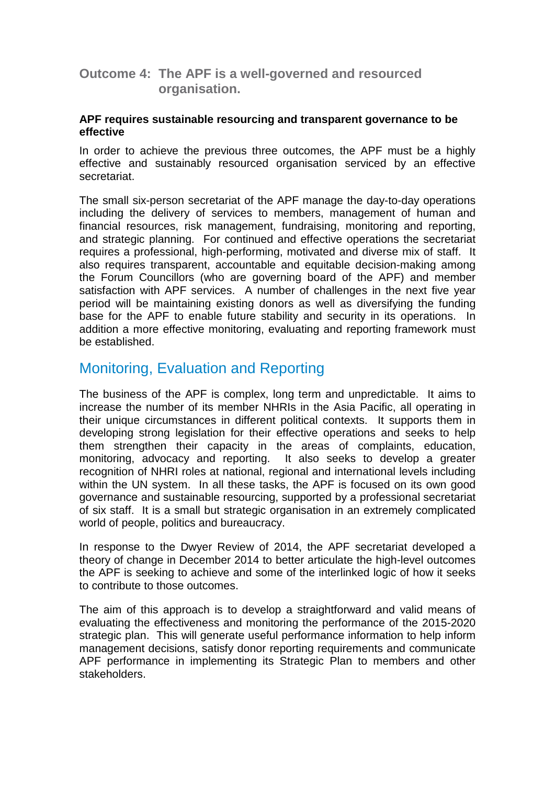#### **Outcome 4: The APF is a well-governed and resourced organisation.**

#### **APF requires sustainable resourcing and transparent governance to be effective**

In order to achieve the previous three outcomes, the APF must be a highly effective and sustainably resourced organisation serviced by an effective secretariat.

The small six-person secretariat of the APF manage the day-to-day operations including the delivery of services to members, management of human and financial resources, risk management, fundraising, monitoring and reporting, and strategic planning. For continued and effective operations the secretariat requires a professional, high-performing, motivated and diverse mix of staff. It also requires transparent, accountable and equitable decision-making among the Forum Councillors (who are governing board of the APF) and member satisfaction with APF services. A number of challenges in the next five year period will be maintaining existing donors as well as diversifying the funding base for the APF to enable future stability and security in its operations. In addition a more effective monitoring, evaluating and reporting framework must be established.

## Monitoring, Evaluation and Reporting

The business of the APF is complex, long term and unpredictable. It aims to increase the number of its member NHRIs in the Asia Pacific, all operating in their unique circumstances in different political contexts. It supports them in developing strong legislation for their effective operations and seeks to help them strengthen their capacity in the areas of complaints, education, monitoring, advocacy and reporting. It also seeks to develop a greater recognition of NHRI roles at national, regional and international levels including within the UN system. In all these tasks, the APF is focused on its own good governance and sustainable resourcing, supported by a professional secretariat of six staff. It is a small but strategic organisation in an extremely complicated world of people, politics and bureaucracy.

In response to the Dwyer Review of 2014, the APF secretariat developed a theory of change in December 2014 to better articulate the high-level outcomes the APF is seeking to achieve and some of the interlinked logic of how it seeks to contribute to those outcomes.

The aim of this approach is to develop a straightforward and valid means of evaluating the effectiveness and monitoring the performance of the 2015-2020 strategic plan. This will generate useful performance information to help inform management decisions, satisfy donor reporting requirements and communicate APF performance in implementing its Strategic Plan to members and other stakeholders.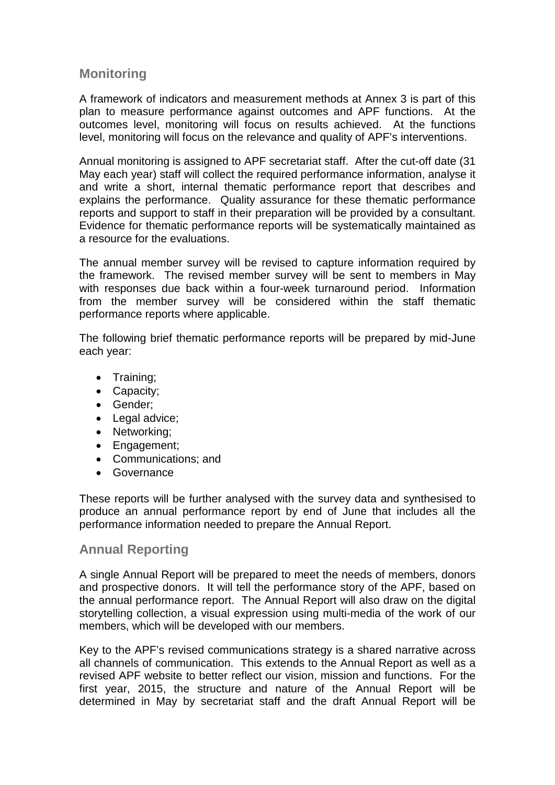#### **Monitoring**

A framework of indicators and measurement methods at Annex 3 is part of this plan to measure performance against outcomes and APF functions. At the outcomes level, monitoring will focus on results achieved. At the functions level, monitoring will focus on the relevance and quality of APF's interventions.

Annual monitoring is assigned to APF secretariat staff. After the cut-off date (31 May each year) staff will collect the required performance information, analyse it and write a short, internal thematic performance report that describes and explains the performance. Quality assurance for these thematic performance reports and support to staff in their preparation will be provided by a consultant. Evidence for thematic performance reports will be systematically maintained as a resource for the evaluations.

The annual member survey will be revised to capture information required by the framework. The revised member survey will be sent to members in May with responses due back within a four-week turnaround period. Information from the member survey will be considered within the staff thematic performance reports where applicable.

The following brief thematic performance reports will be prepared by mid-June each year:

- Training;
- Capacity;
- Gender;
- Legal advice;
- Networking;
- Engagement;
- Communications; and
- Governance

These reports will be further analysed with the survey data and synthesised to produce an annual performance report by end of June that includes all the performance information needed to prepare the Annual Report.

#### **Annual Reporting**

A single Annual Report will be prepared to meet the needs of members, donors and prospective donors. It will tell the performance story of the APF, based on the annual performance report. The Annual Report will also draw on the digital storytelling collection, a visual expression using multi-media of the work of our members, which will be developed with our members.

Key to the APF's revised communications strategy is a shared narrative across all channels of communication. This extends to the Annual Report as well as a revised APF website to better reflect our vision, mission and functions. For the first year, 2015, the structure and nature of the Annual Report will be determined in May by secretariat staff and the draft Annual Report will be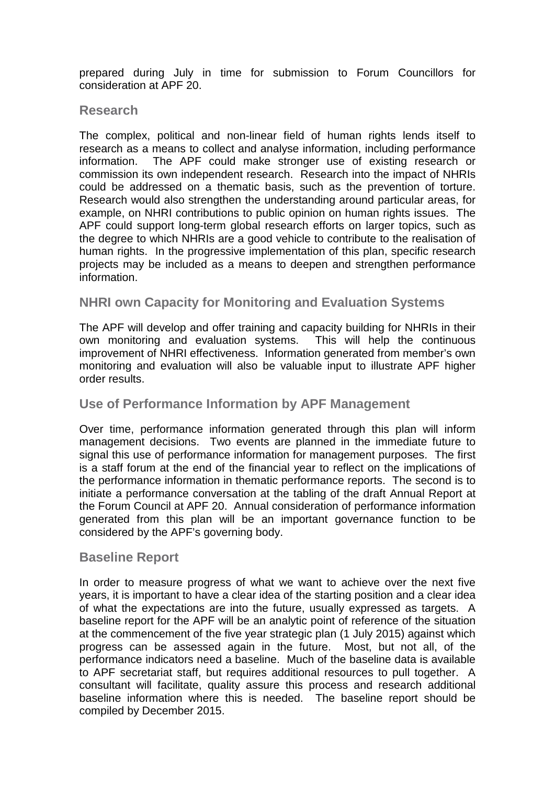prepared during July in time for submission to Forum Councillors for consideration at APF 20.

#### **Research**

The complex, political and non-linear field of human rights lends itself to research as a means to collect and analyse information, including performance information. The APF could make stronger use of existing research or commission its own independent research. Research into the impact of NHRIs could be addressed on a thematic basis, such as the prevention of torture. Research would also strengthen the understanding around particular areas, for example, on NHRI contributions to public opinion on human rights issues. The APF could support long-term global research efforts on larger topics, such as the degree to which NHRIs are a good vehicle to contribute to the realisation of human rights. In the progressive implementation of this plan, specific research projects may be included as a means to deepen and strengthen performance information.

#### **NHRI own Capacity for Monitoring and Evaluation Systems**

The APF will develop and offer training and capacity building for NHRIs in their own monitoring and evaluation systems. This will help the continuous improvement of NHRI effectiveness. Information generated from member's own monitoring and evaluation will also be valuable input to illustrate APF higher order results.

#### **Use of Performance Information by APF Management**

Over time, performance information generated through this plan will inform management decisions. Two events are planned in the immediate future to signal this use of performance information for management purposes. The first is a staff forum at the end of the financial year to reflect on the implications of the performance information in thematic performance reports. The second is to initiate a performance conversation at the tabling of the draft Annual Report at the Forum Council at APF 20. Annual consideration of performance information generated from this plan will be an important governance function to be considered by the APF's governing body.

#### **Baseline Report**

In order to measure progress of what we want to achieve over the next five years, it is important to have a clear idea of the starting position and a clear idea of what the expectations are into the future, usually expressed as targets. A baseline report for the APF will be an analytic point of reference of the situation at the commencement of the five year strategic plan (1 July 2015) against which progress can be assessed again in the future. Most, but not all, of the performance indicators need a baseline. Much of the baseline data is available to APF secretariat staff, but requires additional resources to pull together. A consultant will facilitate, quality assure this process and research additional baseline information where this is needed. The baseline report should be compiled by December 2015.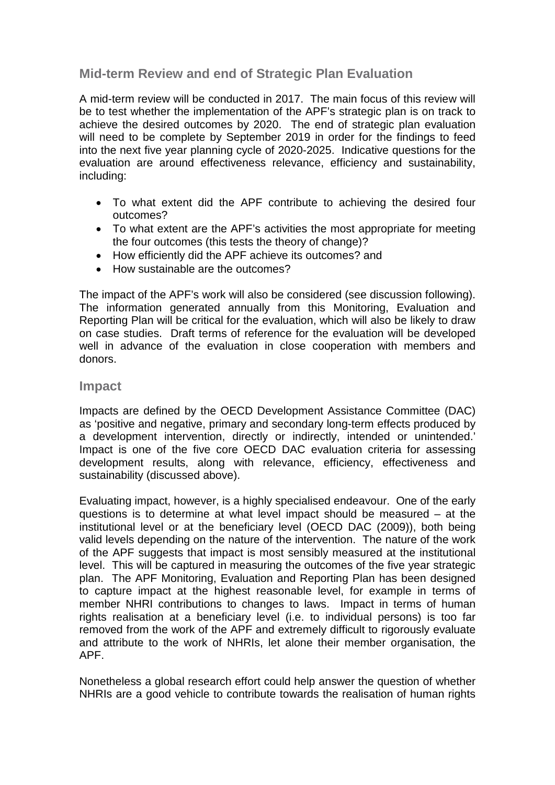#### **Mid-term Review and end of Strategic Plan Evaluation**

A mid-term review will be conducted in 2017. The main focus of this review will be to test whether the implementation of the APF's strategic plan is on track to achieve the desired outcomes by 2020. The end of strategic plan evaluation will need to be complete by September 2019 in order for the findings to feed into the next five year planning cycle of 2020-2025. Indicative questions for the evaluation are around effectiveness relevance, efficiency and sustainability, including:

- To what extent did the APF contribute to achieving the desired four outcomes?
- To what extent are the APF's activities the most appropriate for meeting the four outcomes (this tests the theory of change)?
- How efficiently did the APF achieve its outcomes? and
- How sustainable are the outcomes?

The impact of the APF's work will also be considered (see discussion following). The information generated annually from this Monitoring, Evaluation and Reporting Plan will be critical for the evaluation, which will also be likely to draw on case studies. Draft terms of reference for the evaluation will be developed well in advance of the evaluation in close cooperation with members and donors.

#### **Impact**

Impacts are defined by the OECD Development Assistance Committee (DAC) as 'positive and negative, primary and secondary long-term effects produced by a development intervention, directly or indirectly, intended or unintended.' Impact is one of the five core OECD DAC evaluation criteria for assessing development results, along with relevance, efficiency, effectiveness and sustainability (discussed above).

Evaluating impact, however, is a highly specialised endeavour. One of the early questions is to determine at what level impact should be measured – at the institutional level or at the beneficiary level (OECD DAC (2009)), both being valid levels depending on the nature of the intervention. The nature of the work of the APF suggests that impact is most sensibly measured at the institutional level. This will be captured in measuring the outcomes of the five year strategic plan. The APF Monitoring, Evaluation and Reporting Plan has been designed to capture impact at the highest reasonable level, for example in terms of member NHRI contributions to changes to laws. Impact in terms of human rights realisation at a beneficiary level (i.e. to individual persons) is too far removed from the work of the APF and extremely difficult to rigorously evaluate and attribute to the work of NHRIs, let alone their member organisation, the APF.

Nonetheless a global research effort could help answer the question of whether NHRIs are a good vehicle to contribute towards the realisation of human rights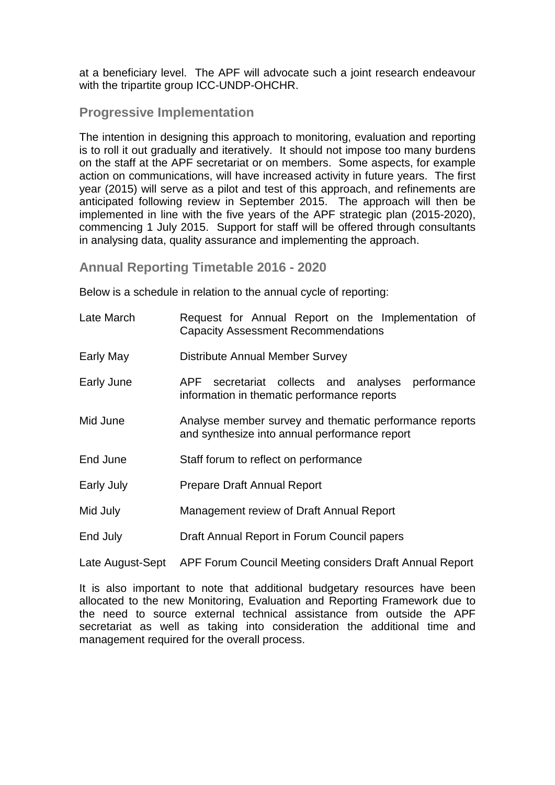at a beneficiary level. The APF will advocate such a joint research endeavour with the tripartite group ICC-UNDP-OHCHR.

#### **Progressive Implementation**

The intention in designing this approach to monitoring, evaluation and reporting is to roll it out gradually and iteratively. It should not impose too many burdens on the staff at the APF secretariat or on members. Some aspects, for example action on communications, will have increased activity in future years. The first year (2015) will serve as a pilot and test of this approach, and refinements are anticipated following review in September 2015. The approach will then be implemented in line with the five years of the APF strategic plan (2015-2020), commencing 1 July 2015. Support for staff will be offered through consultants in analysing data, quality assurance and implementing the approach.

**Annual Reporting Timetable 2016 - 2020**

Below is a schedule in relation to the annual cycle of reporting:

| Late March | Request for Annual Report on the Implementation of<br><b>Capacity Assessment Recommendations</b>        |  |  |  |  |  |  |  |
|------------|---------------------------------------------------------------------------------------------------------|--|--|--|--|--|--|--|
| Early May  | <b>Distribute Annual Member Survey</b>                                                                  |  |  |  |  |  |  |  |
| Early June | APF secretariat collects and analyses<br>performance<br>information in thematic performance reports     |  |  |  |  |  |  |  |
| Mid June   | Analyse member survey and thematic performance reports<br>and synthesize into annual performance report |  |  |  |  |  |  |  |
| End June   | Staff forum to reflect on performance                                                                   |  |  |  |  |  |  |  |
| Early July | Prepare Draft Annual Report                                                                             |  |  |  |  |  |  |  |
| Mid July   | Management review of Draft Annual Report                                                                |  |  |  |  |  |  |  |
| End July   | Draft Annual Report in Forum Council papers                                                             |  |  |  |  |  |  |  |
|            |                                                                                                         |  |  |  |  |  |  |  |

Late August-Sept APF Forum Council Meeting considers Draft Annual Report

It is also important to note that additional budgetary resources have been allocated to the new Monitoring, Evaluation and Reporting Framework due to the need to source external technical assistance from outside the APF secretariat as well as taking into consideration the additional time and management required for the overall process.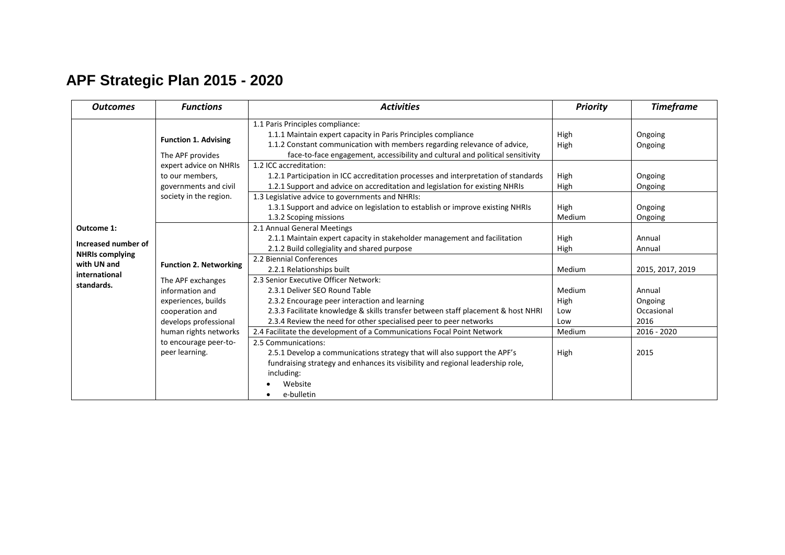## **APF Strategic Plan 2015 - 2020**

| <b>Outcomes</b>                                                                                           | <b>Functions</b>                                                                                                                         | <b>Activities</b>                                                                                                                                                                                                                                                                | <b>Priority</b>              | <b>Timeframe</b>                        |
|-----------------------------------------------------------------------------------------------------------|------------------------------------------------------------------------------------------------------------------------------------------|----------------------------------------------------------------------------------------------------------------------------------------------------------------------------------------------------------------------------------------------------------------------------------|------------------------------|-----------------------------------------|
|                                                                                                           | <b>Function 1. Advising</b><br>The APF provides                                                                                          | 1.1 Paris Principles compliance:<br>1.1.1 Maintain expert capacity in Paris Principles compliance<br>1.1.2 Constant communication with members regarding relevance of advice,<br>face-to-face engagement, accessibility and cultural and political sensitivity                   | High<br><b>High</b>          | Ongoing<br>Ongoing                      |
| Outcome 1:<br>Increased number of<br><b>NHRIs complying</b><br>with UN and<br>international<br>standards. | expert advice on NHRIs<br>to our members,<br>governments and civil                                                                       | 1.2 ICC accreditation:<br>1.2.1 Participation in ICC accreditation processes and interpretation of standards<br>1.2.1 Support and advice on accreditation and legislation for existing NHRIs<br>1.3 Legislative advice to governments and NHRIs:                                 | High<br>High                 | Ongoing<br>Ongoing                      |
|                                                                                                           | society in the region.                                                                                                                   | 1.3.1 Support and advice on legislation to establish or improve existing NHRIs<br>1.3.2 Scoping missions                                                                                                                                                                         | High<br>Medium               | Ongoing<br>Ongoing                      |
|                                                                                                           | <b>Function 2. Networking</b><br>The APF exchanges<br>information and<br>experiences, builds<br>cooperation and<br>develops professional | 2.1 Annual General Meetings<br>2.1.1 Maintain expert capacity in stakeholder management and facilitation<br>2.1.2 Build collegiality and shared purpose                                                                                                                          | High<br>High                 | Annual<br>Annual                        |
|                                                                                                           |                                                                                                                                          | 2.2 Biennial Conferences<br>2.2.1 Relationships built                                                                                                                                                                                                                            | Medium                       | 2015, 2017, 2019                        |
|                                                                                                           |                                                                                                                                          | 2.3 Senior Executive Officer Network:<br>2.3.1 Deliver SEO Round Table<br>2.3.2 Encourage peer interaction and learning<br>2.3.3 Facilitate knowledge & skills transfer between staff placement & host NHRI<br>2.3.4 Review the need for other specialised peer to peer networks | Medium<br>High<br>Low<br>Low | Annual<br>Ongoing<br>Occasional<br>2016 |
|                                                                                                           | human rights networks                                                                                                                    | 2.4 Facilitate the development of a Communications Focal Point Network                                                                                                                                                                                                           | Medium                       | 2016 - 2020                             |
|                                                                                                           | to encourage peer-to-<br>peer learning.                                                                                                  | 2.5 Communications:<br>2.5.1 Develop a communications strategy that will also support the APF's<br>fundraising strategy and enhances its visibility and regional leadership role,<br>including:<br>Website<br>e-bulletin                                                         | High                         | 2015                                    |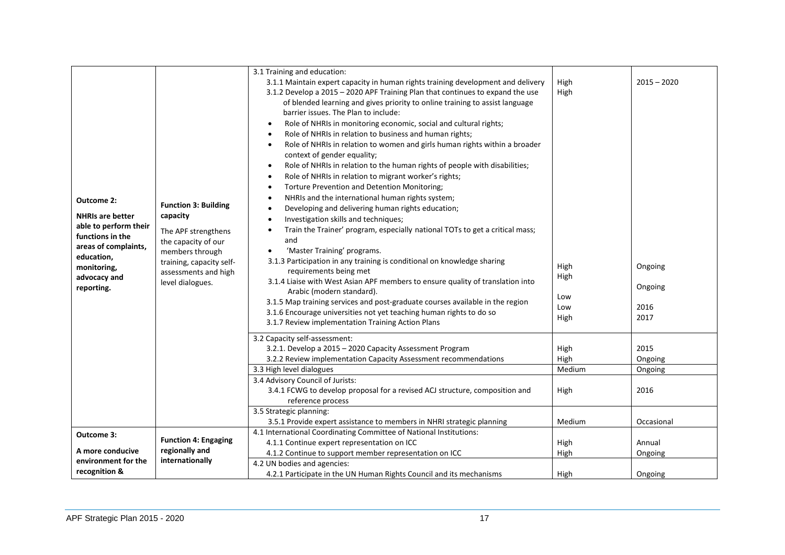| Outcome 2:<br><b>NHRIs are better</b><br>able to perform their<br>functions in the<br>areas of complaints,<br>education,<br>monitoring,<br>advocacy and<br>reporting. | <b>Function 3: Building</b><br>capacity<br>The APF strengthens<br>the capacity of our<br>members through<br>training, capacity self-<br>assessments and high<br>level dialogues. | 3.1 Training and education:<br>3.1.1 Maintain expert capacity in human rights training development and delivery<br>3.1.2 Develop a 2015 - 2020 APF Training Plan that continues to expand the use<br>of blended learning and gives priority to online training to assist language<br>barrier issues. The Plan to include:<br>Role of NHRIs in monitoring economic, social and cultural rights;<br>$\bullet$<br>Role of NHRIs in relation to business and human rights;<br>$\bullet$<br>Role of NHRIs in relation to women and girls human rights within a broader<br>$\bullet$<br>context of gender equality;<br>Role of NHRIs in relation to the human rights of people with disabilities;<br>$\bullet$<br>Role of NHRIs in relation to migrant worker's rights;<br>$\bullet$<br>Torture Prevention and Detention Monitoring;<br>NHRIs and the international human rights system;<br>Developing and delivering human rights education;<br>$\bullet$<br>Investigation skills and techniques;<br>Train the Trainer' program, especially national TOTs to get a critical mass;<br>and<br>'Master Training' programs.<br>$\bullet$<br>3.1.3 Participation in any training is conditional on knowledge sharing<br>requirements being met<br>3.1.4 Liaise with West Asian APF members to ensure quality of translation into<br>Arabic (modern standard).<br>3.1.5 Map training services and post-graduate courses available in the region<br>3.1.6 Encourage universities not yet teaching human rights to do so<br>3.1.7 Review implementation Training Action Plans | High<br>High<br>High<br>High<br>Low<br>Low<br>High | $2015 - 2020$<br>Ongoing<br>Ongoing<br>2016<br>2017 |
|-----------------------------------------------------------------------------------------------------------------------------------------------------------------------|----------------------------------------------------------------------------------------------------------------------------------------------------------------------------------|------------------------------------------------------------------------------------------------------------------------------------------------------------------------------------------------------------------------------------------------------------------------------------------------------------------------------------------------------------------------------------------------------------------------------------------------------------------------------------------------------------------------------------------------------------------------------------------------------------------------------------------------------------------------------------------------------------------------------------------------------------------------------------------------------------------------------------------------------------------------------------------------------------------------------------------------------------------------------------------------------------------------------------------------------------------------------------------------------------------------------------------------------------------------------------------------------------------------------------------------------------------------------------------------------------------------------------------------------------------------------------------------------------------------------------------------------------------------------------------------------------------------------------------------------------------|----------------------------------------------------|-----------------------------------------------------|
|                                                                                                                                                                       |                                                                                                                                                                                  | 3.2 Capacity self-assessment:<br>3.2.1. Develop a 2015 - 2020 Capacity Assessment Program<br>3.2.2 Review implementation Capacity Assessment recommendations                                                                                                                                                                                                                                                                                                                                                                                                                                                                                                                                                                                                                                                                                                                                                                                                                                                                                                                                                                                                                                                                                                                                                                                                                                                                                                                                                                                                     | High<br>High<br>Medium                             | 2015<br>Ongoing                                     |
|                                                                                                                                                                       |                                                                                                                                                                                  | 3.3 High level dialogues<br>3.4 Advisory Council of Jurists:<br>3.4.1 FCWG to develop proposal for a revised ACJ structure, composition and<br>reference process                                                                                                                                                                                                                                                                                                                                                                                                                                                                                                                                                                                                                                                                                                                                                                                                                                                                                                                                                                                                                                                                                                                                                                                                                                                                                                                                                                                                 | High                                               | Ongoing<br>2016                                     |
|                                                                                                                                                                       |                                                                                                                                                                                  | 3.5 Strategic planning:<br>3.5.1 Provide expert assistance to members in NHRI strategic planning                                                                                                                                                                                                                                                                                                                                                                                                                                                                                                                                                                                                                                                                                                                                                                                                                                                                                                                                                                                                                                                                                                                                                                                                                                                                                                                                                                                                                                                                 | Medium                                             | Occasional                                          |
| Outcome 3:                                                                                                                                                            |                                                                                                                                                                                  | 4.1 International Coordinating Committee of National Institutions:                                                                                                                                                                                                                                                                                                                                                                                                                                                                                                                                                                                                                                                                                                                                                                                                                                                                                                                                                                                                                                                                                                                                                                                                                                                                                                                                                                                                                                                                                               |                                                    |                                                     |
|                                                                                                                                                                       | <b>Function 4: Engaging</b>                                                                                                                                                      | 4.1.1 Continue expert representation on ICC                                                                                                                                                                                                                                                                                                                                                                                                                                                                                                                                                                                                                                                                                                                                                                                                                                                                                                                                                                                                                                                                                                                                                                                                                                                                                                                                                                                                                                                                                                                      | High                                               | Annual                                              |
| A more conducive                                                                                                                                                      | regionally and                                                                                                                                                                   | 4.1.2 Continue to support member representation on ICC                                                                                                                                                                                                                                                                                                                                                                                                                                                                                                                                                                                                                                                                                                                                                                                                                                                                                                                                                                                                                                                                                                                                                                                                                                                                                                                                                                                                                                                                                                           | High                                               | Ongoing                                             |
| environment for the                                                                                                                                                   | internationally                                                                                                                                                                  | 4.2 UN bodies and agencies:                                                                                                                                                                                                                                                                                                                                                                                                                                                                                                                                                                                                                                                                                                                                                                                                                                                                                                                                                                                                                                                                                                                                                                                                                                                                                                                                                                                                                                                                                                                                      |                                                    |                                                     |
| recognition &                                                                                                                                                         |                                                                                                                                                                                  | 4.2.1 Participate in the UN Human Rights Council and its mechanisms                                                                                                                                                                                                                                                                                                                                                                                                                                                                                                                                                                                                                                                                                                                                                                                                                                                                                                                                                                                                                                                                                                                                                                                                                                                                                                                                                                                                                                                                                              | High                                               | Ongoing                                             |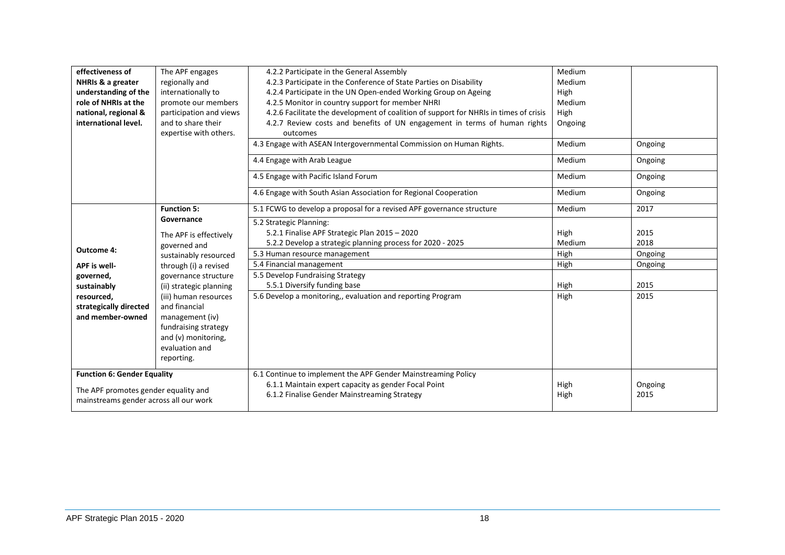| effectiveness of<br>NHRIs & a greater<br>understanding of the<br>role of NHRIs at the<br>national, regional &<br>international level. | The APF engages<br>regionally and<br>internationally to<br>promote our members<br>participation and views<br>and to share their<br>expertise with others. | 4.2.2 Participate in the General Assembly<br>4.2.3 Participate in the Conference of State Parties on Disability<br>4.2.4 Participate in the UN Open-ended Working Group on Ageing<br>4.2.5 Monitor in country support for member NHRI<br>4.2.6 Facilitate the development of coalition of support for NHRIs in times of crisis<br>4.2.7 Review costs and benefits of UN engagement in terms of human rights<br>outcomes<br>4.3 Engage with ASEAN Intergovernmental Commission on Human Rights.<br>4.4 Engage with Arab League | Medium<br>Medium<br>High<br>Medium<br>High<br>Ongoing<br>Medium<br>Medium | Ongoing<br>Ongoing |
|---------------------------------------------------------------------------------------------------------------------------------------|-----------------------------------------------------------------------------------------------------------------------------------------------------------|-------------------------------------------------------------------------------------------------------------------------------------------------------------------------------------------------------------------------------------------------------------------------------------------------------------------------------------------------------------------------------------------------------------------------------------------------------------------------------------------------------------------------------|---------------------------------------------------------------------------|--------------------|
|                                                                                                                                       |                                                                                                                                                           | 4.5 Engage with Pacific Island Forum                                                                                                                                                                                                                                                                                                                                                                                                                                                                                          | Medium                                                                    | Ongoing            |
|                                                                                                                                       |                                                                                                                                                           | 4.6 Engage with South Asian Association for Regional Cooperation                                                                                                                                                                                                                                                                                                                                                                                                                                                              | Medium                                                                    | Ongoing            |
|                                                                                                                                       | <b>Function 5:</b>                                                                                                                                        | 5.1 FCWG to develop a proposal for a revised APF governance structure                                                                                                                                                                                                                                                                                                                                                                                                                                                         | Medium                                                                    | 2017               |
| <b>Outcome 4:</b>                                                                                                                     | Governance<br>The APF is effectively<br>governed and                                                                                                      | 5.2 Strategic Planning:<br>5.2.1 Finalise APF Strategic Plan 2015 - 2020<br>5.2.2 Develop a strategic planning process for 2020 - 2025                                                                                                                                                                                                                                                                                                                                                                                        | High<br>Medium                                                            | 2015<br>2018       |
| <b>APF</b> is well-                                                                                                                   | sustainably resourced<br>through (i) a revised                                                                                                            | 5.3 Human resource management<br>5.4 Financial management                                                                                                                                                                                                                                                                                                                                                                                                                                                                     | High<br>High                                                              | Ongoing<br>Ongoing |
| governed,<br>sustainably                                                                                                              | governance structure<br>(ii) strategic planning                                                                                                           | 5.5 Develop Fundraising Strategy<br>5.5.1 Diversify funding base                                                                                                                                                                                                                                                                                                                                                                                                                                                              | High                                                                      | 2015               |
| resourced,<br>strategically directed<br>and member-owned                                                                              | (iii) human resources<br>and financial<br>management (iv)<br>fundraising strategy<br>and (v) monitoring,<br>evaluation and<br>reporting.                  | 5.6 Develop a monitoring,, evaluation and reporting Program                                                                                                                                                                                                                                                                                                                                                                                                                                                                   | High                                                                      | 2015               |
| <b>Function 6: Gender Equality</b><br>The APF promotes gender equality and<br>mainstreams gender across all our work                  |                                                                                                                                                           | 6.1 Continue to implement the APF Gender Mainstreaming Policy<br>6.1.1 Maintain expert capacity as gender Focal Point<br>6.1.2 Finalise Gender Mainstreaming Strategy                                                                                                                                                                                                                                                                                                                                                         | High<br>High                                                              | Ongoing<br>2015    |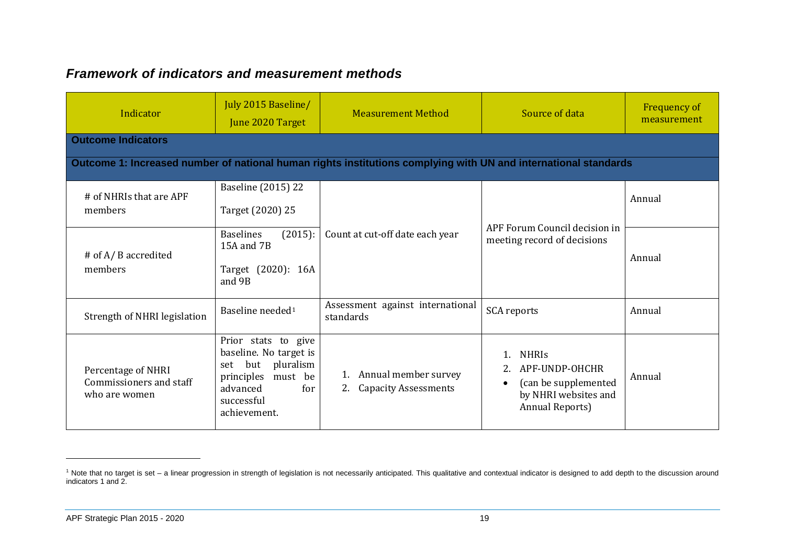### <span id="page-17-0"></span>*Framework of indicators and measurement methods*

| Indicator                                                      | July 2015 Baseline/<br>June 2020 Target                                                                                                         | <b>Measurement Method</b>                                                                                       | Source of data                                                                                                        | <b>Frequency of</b><br>measurement |
|----------------------------------------------------------------|-------------------------------------------------------------------------------------------------------------------------------------------------|-----------------------------------------------------------------------------------------------------------------|-----------------------------------------------------------------------------------------------------------------------|------------------------------------|
| <b>Outcome Indicators</b>                                      |                                                                                                                                                 |                                                                                                                 |                                                                                                                       |                                    |
|                                                                |                                                                                                                                                 | Outcome 1: Increased number of national human rights institutions complying with UN and international standards |                                                                                                                       |                                    |
| # of NHRIs that are APF                                        | <b>Baseline (2015) 22</b>                                                                                                                       |                                                                                                                 |                                                                                                                       | Annual                             |
| members                                                        | Target (2020) 25                                                                                                                                |                                                                                                                 | APF Forum Council decision in<br>meeting record of decisions                                                          |                                    |
|                                                                | <b>Baselines</b><br>(2015):<br>15A and 7B                                                                                                       | Count at cut-off date each year                                                                                 |                                                                                                                       |                                    |
| # of A/ B accredited<br>members                                | Target (2020): 16A<br>and 9B                                                                                                                    |                                                                                                                 |                                                                                                                       | Annual                             |
| Strength of NHRI legislation                                   | Baseline needed <sup>1</sup>                                                                                                                    | Assessment against international<br>standards                                                                   | <b>SCA</b> reports                                                                                                    | Annual                             |
| Percentage of NHRI<br>Commissioners and staff<br>who are women | Prior stats to give<br>baseline. No target is<br>but pluralism<br>set<br>principles<br>must be<br>advanced<br>for<br>successful<br>achievement. | Annual member survey<br><b>Capacity Assessments</b><br>2.                                                       | <b>NHRIS</b><br>APF-UNDP-OHCHR<br>(can be supplemented<br>$\bullet$<br>by NHRI websites and<br><b>Annual Reports)</b> | Annual                             |

-

<sup>&</sup>lt;sup>1</sup> Note that no target is set – a linear progression in strength of legislation is not necessarily anticipated. This qualitative and contextual indicator is designed to add depth to the discussion around indicators 1 and 2.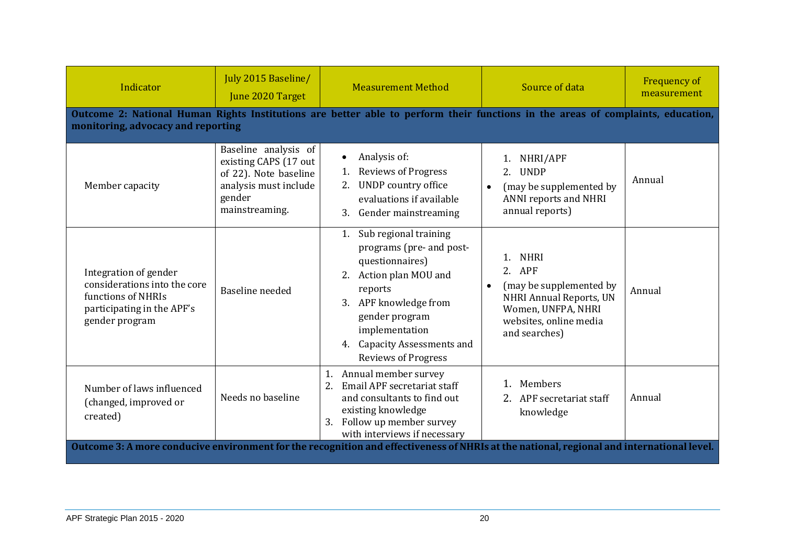| Indicator                                                                                                                                                             | July 2015 Baseline/<br>June 2020 Target                                                                                     | <b>Measurement Method</b>                                                                                                                                                                                                                           | Source of data                                                                                                                                                   | <b>Frequency of</b><br>measurement |  |  |  |
|-----------------------------------------------------------------------------------------------------------------------------------------------------------------------|-----------------------------------------------------------------------------------------------------------------------------|-----------------------------------------------------------------------------------------------------------------------------------------------------------------------------------------------------------------------------------------------------|------------------------------------------------------------------------------------------------------------------------------------------------------------------|------------------------------------|--|--|--|
| Outcome 2: National Human Rights Institutions are better able to perform their functions in the areas of complaints, education,<br>monitoring, advocacy and reporting |                                                                                                                             |                                                                                                                                                                                                                                                     |                                                                                                                                                                  |                                    |  |  |  |
| Member capacity                                                                                                                                                       | Baseline analysis of<br>existing CAPS (17 out<br>of 22). Note baseline<br>analysis must include<br>gender<br>mainstreaming. | Analysis of:<br><b>Reviews of Progress</b><br><b>UNDP</b> country office<br>evaluations if available<br>Gender mainstreaming<br>3.                                                                                                                  | NHRI/APF<br><b>UNDP</b><br>2.<br>(may be supplemented by<br>$\bullet$<br><b>ANNI reports and NHRI</b><br>annual reports)                                         | Annual                             |  |  |  |
| Integration of gender<br>considerations into the core<br>functions of NHRIs<br>participating in the APF's<br>gender program                                           | Baseline needed                                                                                                             | Sub regional training<br>1.<br>programs (pre- and post-<br>questionnaires)<br>Action plan MOU and<br>reports<br>APF knowledge from<br>3.<br>gender program<br>implementation<br><b>Capacity Assessments and</b><br>4.<br><b>Reviews of Progress</b> | <b>NHRI</b><br>2. APF<br>(may be supplemented by<br>$\bullet$<br><b>NHRI Annual Reports, UN</b><br>Women, UNFPA, NHRI<br>websites, online media<br>and searches) | Annual                             |  |  |  |
| Number of laws influenced<br>(changed, improved or<br>created)                                                                                                        | Needs no baseline                                                                                                           | Annual member survey<br>1.<br>Email APF secretariat staff<br>2.<br>and consultants to find out<br>existing knowledge<br>Follow up member survey<br>3.<br>with interviews if necessary                                                               | Members<br>APF secretariat staff<br>knowledge                                                                                                                    | Annual                             |  |  |  |
| Outcome 3: A more conducive environment for the recognition and effectiveness of NHRIs at the national, regional and international level.                             |                                                                                                                             |                                                                                                                                                                                                                                                     |                                                                                                                                                                  |                                    |  |  |  |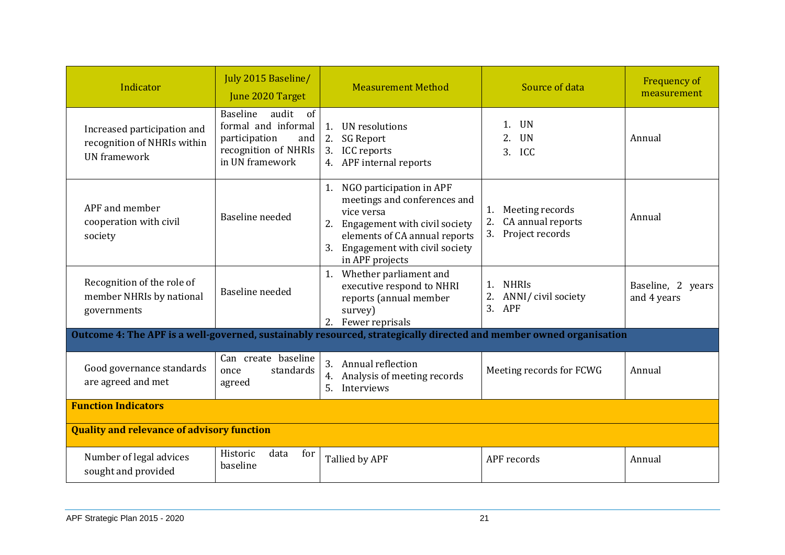| Indicator                                                                         | July 2015 Baseline/<br>June 2020 Target                                                                           | <b>Measurement Method</b>                                                                                                                                                                                   | Source of data                                                            | <b>Frequency of</b><br>measurement |  |  |  |
|-----------------------------------------------------------------------------------|-------------------------------------------------------------------------------------------------------------------|-------------------------------------------------------------------------------------------------------------------------------------------------------------------------------------------------------------|---------------------------------------------------------------------------|------------------------------------|--|--|--|
| Increased participation and<br>recognition of NHRIs within<br><b>UN</b> framework | audit<br>Baseline<br>of<br>formal and informal<br>participation<br>and<br>recognition of NHRIs<br>in UN framework | UN resolutions<br>1.<br>2.<br><b>SG Report</b><br>3.<br><b>ICC</b> reports<br>4. APF internal reports                                                                                                       | <b>UN</b><br>1.<br><b>UN</b><br>2.<br><b>ICC</b><br>3.                    | Annual                             |  |  |  |
| APF and member<br>cooperation with civil<br>society                               | Baseline needed                                                                                                   | NGO participation in APF<br>1.<br>meetings and conferences and<br>vice versa<br>Engagement with civil society<br>2.<br>elements of CA annual reports<br>3. Engagement with civil society<br>in APF projects | Meeting records<br>1.<br>2.<br>CA annual reports<br>3.<br>Project records | Annual                             |  |  |  |
| Recognition of the role of<br>member NHRIs by national<br>governments             | Baseline needed                                                                                                   | Whether parliament and<br>1.<br>executive respond to NHRI<br>reports (annual member<br>survey)<br>2. Fewer reprisals                                                                                        | 1. NHRIS<br>2. ANNI/ civil society<br>$3.$ APF                            | Baseline, 2 years<br>and 4 years   |  |  |  |
|                                                                                   |                                                                                                                   | Outcome 4: The APF is a well-governed, sustainably resourced, strategically directed and member owned organisation                                                                                          |                                                                           |                                    |  |  |  |
| Good governance standards<br>are agreed and met                                   | Can create baseline<br>standards<br>once<br>agreed                                                                | 3.<br>Annual reflection<br>Analysis of meeting records<br>4.<br>5.<br>Interviews                                                                                                                            | Meeting records for FCWG                                                  | Annual                             |  |  |  |
| <b>Function Indicators</b>                                                        |                                                                                                                   |                                                                                                                                                                                                             |                                                                           |                                    |  |  |  |
| <b>Quality and relevance of advisory function</b>                                 |                                                                                                                   |                                                                                                                                                                                                             |                                                                           |                                    |  |  |  |
| Number of legal advices<br>sought and provided                                    | Historic<br>data<br>for<br>baseline                                                                               | Tallied by APF                                                                                                                                                                                              | APF records                                                               | Annual                             |  |  |  |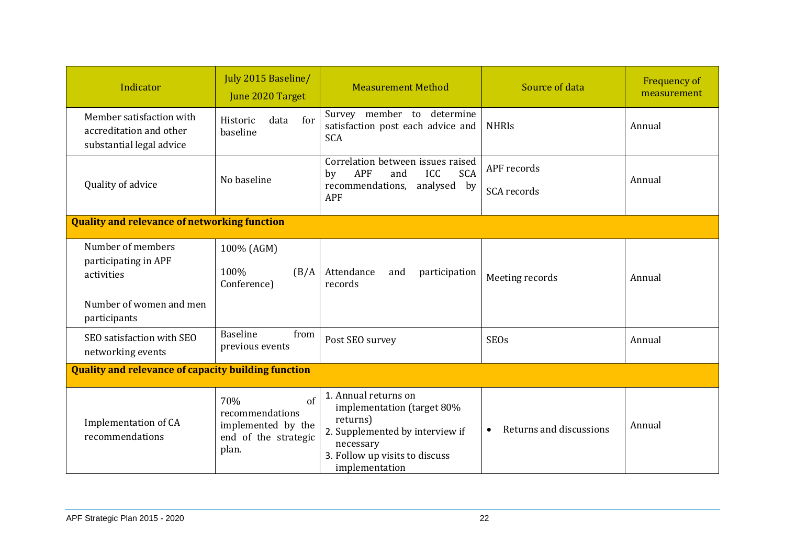| Indicator                                                                          | July 2015 Baseline/<br>June 2020 Target                                                     | <b>Measurement Method</b>                                                                                                                                          | Source of data                       | <b>Frequency of</b><br>measurement |  |  |
|------------------------------------------------------------------------------------|---------------------------------------------------------------------------------------------|--------------------------------------------------------------------------------------------------------------------------------------------------------------------|--------------------------------------|------------------------------------|--|--|
| Member satisfaction with<br>accreditation and other<br>substantial legal advice    | for<br>Historic<br>data<br>baseline                                                         | Survey member to determine<br>satisfaction post each advice and<br><b>SCA</b>                                                                                      | <b>NHRIS</b>                         | Annual                             |  |  |
| Quality of advice                                                                  | No baseline                                                                                 | Correlation between issues raised<br>APF<br>ICC<br><b>SCA</b><br>and<br>by<br>recommendations,<br>analysed by<br>APF                                               | APF records<br>SCA records           | Annual                             |  |  |
| <b>Quality and relevance of networking function</b>                                |                                                                                             |                                                                                                                                                                    |                                      |                                    |  |  |
| Number of members<br>participating in APF<br>activities<br>Number of women and men | 100% (AGM)<br>100%<br>(B/A)<br>Conference)                                                  | Attendance<br>participation<br>and<br>records                                                                                                                      | Meeting records                      | Annual                             |  |  |
| participants<br>SEO satisfaction with SEO<br>networking events                     | Baseline<br>from<br>previous events                                                         | Post SEO survey                                                                                                                                                    | <b>SEOs</b>                          | Annual                             |  |  |
| <b>Quality and relevance of capacity building function</b>                         |                                                                                             |                                                                                                                                                                    |                                      |                                    |  |  |
| Implementation of CA<br>recommendations                                            | $\sigma$ f<br>70%<br>recommendations<br>implemented by the<br>end of the strategic<br>plan. | 1. Annual returns on<br>implementation (target 80%<br>returns)<br>2. Supplemented by interview if<br>necessary<br>3. Follow up visits to discuss<br>implementation | Returns and discussions<br>$\bullet$ | Annual                             |  |  |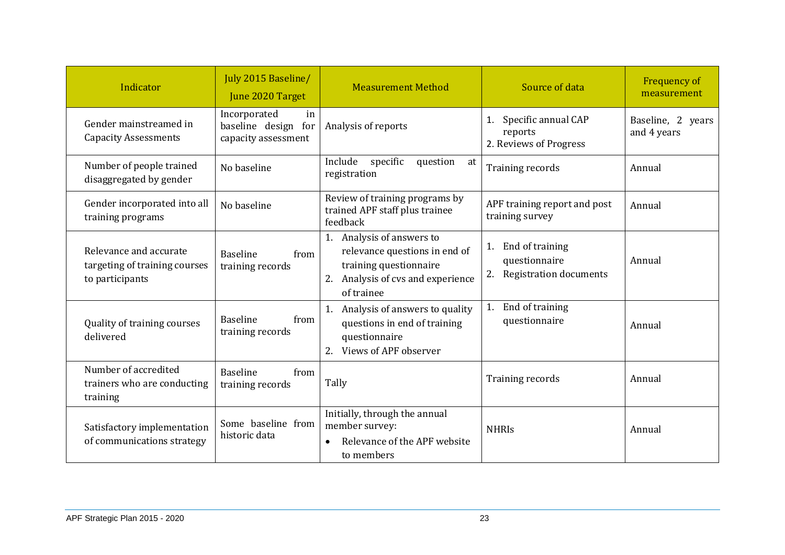| Indicator                                                                  | July 2015 Baseline/<br>June 2020 Target                          | <b>Measurement Method</b>                                                                                                               | Source of data                                                      | Frequency of<br>measurement      |
|----------------------------------------------------------------------------|------------------------------------------------------------------|-----------------------------------------------------------------------------------------------------------------------------------------|---------------------------------------------------------------------|----------------------------------|
| Gender mainstreamed in<br><b>Capacity Assessments</b>                      | Incorporated<br>in<br>baseline design for<br>capacity assessment | Analysis of reports                                                                                                                     | Specific annual CAP<br>1.<br>reports<br>2. Reviews of Progress      | Baseline, 2 years<br>and 4 years |
| Number of people trained<br>disaggregated by gender                        | No baseline                                                      | Include<br>specific<br>question<br>at<br>registration                                                                                   | Training records                                                    | Annual                           |
| Gender incorporated into all<br>training programs                          | No baseline                                                      | Review of training programs by<br>trained APF staff plus trainee<br>feedback                                                            | APF training report and post<br>training survey                     | Annual                           |
| Relevance and accurate<br>targeting of training courses<br>to participants | <b>Baseline</b><br>from<br>training records                      | 1. Analysis of answers to<br>relevance questions in end of<br>training questionnaire<br>2. Analysis of cvs and experience<br>of trainee | End of training<br>1.<br>questionnaire<br>2. Registration documents | Annual                           |
| Quality of training courses<br>delivered                                   | <b>Baseline</b><br>from<br>training records                      | 1. Analysis of answers to quality<br>questions in end of training<br>questionnaire<br>Views of APF observer<br>2.                       | End of training<br>1.<br>questionnaire                              | Annual                           |
| Number of accredited<br>trainers who are conducting<br>training            | <b>Baseline</b><br>from<br>training records                      | Tally                                                                                                                                   | Training records                                                    | Annual                           |
| Satisfactory implementation<br>of communications strategy                  | Some baseline from<br>historic data                              | Initially, through the annual<br>member survey:<br>Relevance of the APF website<br>to members                                           | <b>NHRIS</b>                                                        | Annual                           |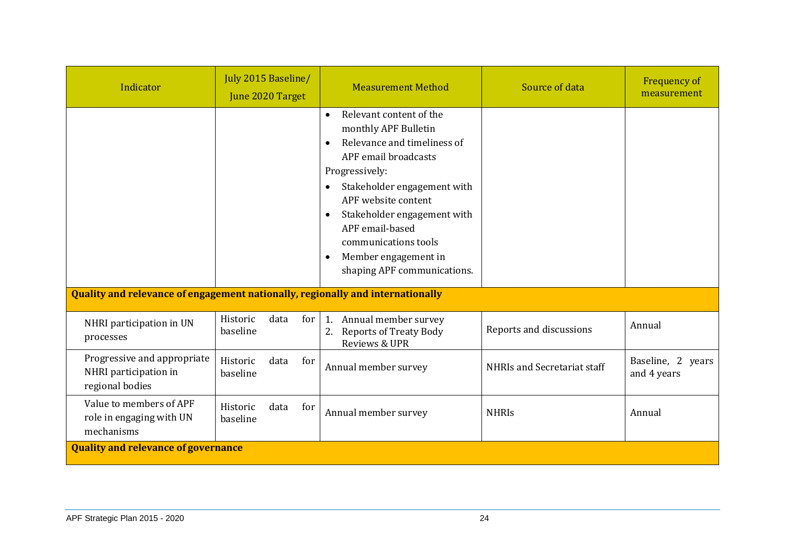| Indicator                                                                      | July 2015 Baseline/<br>June 2020 Target |      |     | <b>Measurement Method</b>                                                                                                                                                                                                                                                                                                                                                        | Source of data              | <b>Frequency of</b><br>measurement |
|--------------------------------------------------------------------------------|-----------------------------------------|------|-----|----------------------------------------------------------------------------------------------------------------------------------------------------------------------------------------------------------------------------------------------------------------------------------------------------------------------------------------------------------------------------------|-----------------------------|------------------------------------|
| Quality and relevance of engagement nationally, regionally and internationally |                                         |      |     | Relevant content of the<br>$\bullet$<br>monthly APF Bulletin<br>Relevance and timeliness of<br>$\bullet$<br>APF email broadcasts<br>Progressively:<br>Stakeholder engagement with<br>$\bullet$<br>APF website content<br>Stakeholder engagement with<br>$\bullet$<br>APF email-based<br>communications tools<br>Member engagement in<br>$\bullet$<br>shaping APF communications. |                             |                                    |
|                                                                                |                                         |      |     |                                                                                                                                                                                                                                                                                                                                                                                  |                             |                                    |
| NHRI participation in UN<br>processes                                          | Historic<br>baseline                    | data | for | 1. Annual member survey<br><b>Reports of Treaty Body</b><br>Reviews & UPR                                                                                                                                                                                                                                                                                                        | Reports and discussions     | Annual                             |
| Progressive and appropriate<br>NHRI participation in<br>regional bodies        | Historic<br>baseline                    | data | for | Annual member survey                                                                                                                                                                                                                                                                                                                                                             | NHRIs and Secretariat staff | Baseline, 2 years<br>and 4 years   |
| Value to members of APF<br>role in engaging with UN<br>mechanisms              | Historic<br>baseline                    | data | for | Annual member survey                                                                                                                                                                                                                                                                                                                                                             | <b>NHRIS</b>                | Annual                             |
| <b>Quality and relevance of governance</b>                                     |                                         |      |     |                                                                                                                                                                                                                                                                                                                                                                                  |                             |                                    |